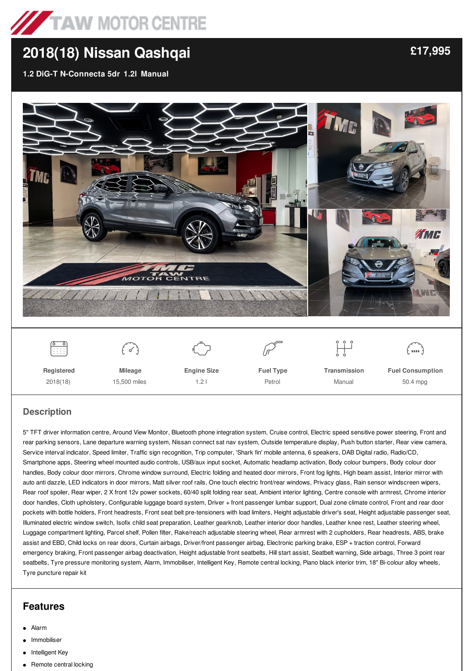

# **[2018\(18\)](/used-cars/pdf/) Nissan Qashqai**

**1.2 DiG-T N-Connecta 5dr 1.2l Manual**



#### **Description**

5" TFT driver information centre, Around View Monitor, Bluetooth phone integration system, Cruise control, Electric speed sensitive power steering, Front and rear parking sensors, Lane departure warning system, Nissan connect sat nav system, Outside temperature display, Push button starter, Rear view camera, Service interval indicator, Speed limiter, Traffic sign recognition, Trip computer, 'Shark fin' mobile antenna, 6 speakers, DAB Digital radio, Radio/CD, Smartphone apps, Steering wheel mounted audio controls, USB/aux input socket, Automatic headlamp activation, Body colour bumpers, Body colour door handles, Body colour door mirrors, Chrome window surround, Electric folding and heated door mirrors, Front fog lights, High beam assist, Interior mirror with auto anti dazzle, LED indicators in door mirrors, Matt silver roof rails, One touch electric front/rear windows, Privacy glass, Rain sensor windscreen wipers, Rear roof spoiler, Rear wiper, 2 X front 12v power sockets, 60/40 split folding rear seat, Ambient interior lighting, Centre console with armrest, Chrome interior door handles, Cloth upholstery, Configurable luggage board system, Driver + front passenger lumbar support, Dual zone climate control, Front and rear door pockets with bottle holders, Front headrests, Front seat belt pre-tensioners with load limiters, Height adjustable driver's seat, Height adjustable passenger seat, Illuminated electric window switch, Isofix child seat preparation, Leather gearknob, Leather interior door handles, Leather knee rest, Leather steering wheel, Luggage compartment lighting, Parcel shelf, Pollen filter, Rake/reach adjustable steering wheel, Rear armrest with 2 cupholders, Rear headrests, ABS, brake assist and EBD, Child locks on rear doors, Curtain airbags, Driver/front passenger airbag, Electronic parking brake, ESP + traction control, Forward emergency braking, Front passenger airbag deactivation, Height adjustable front seatbelts, Hill start assist, Seatbelt warning, Side airbags, Three 3 point rear seatbelts, Tyre pressure monitoring system, Alarm, Immobiliser, Intelligent Key, Remote central locking, Piano black interior trim, 18" Bi-colour alloy wheels, Tyre puncture repair kit

## **Features**

- Alarm
- Immobiliser
- Intelligent Key
- Remote central locking

**[£17,995](/used-cars/pdf/)**